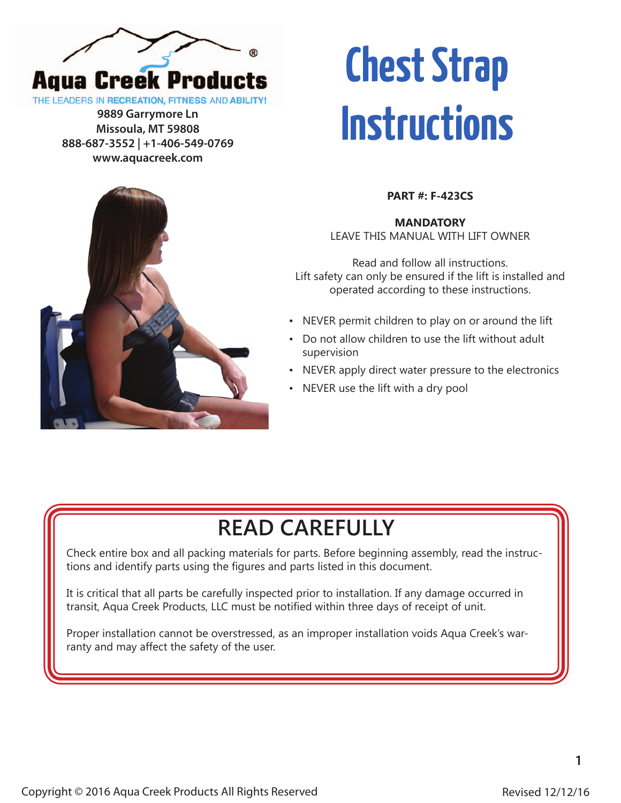

**Missoula, MT 59808 888-687-3552 | +1-406-549-0769 www.aquacreek.com**

## **Chest Strap** THE LEADERS IN RECREATION, FITNESS AND ABILITY!<br>
9889 Garrymore Ln<br>
Missoula, MT 59808<br> **INSTITUCTIONS**



**MANDATORY**  LEAVE THIS MANUAL WITH LIFT OWNER

Read and follow all instructions. Lift safety can only be ensured if the lift is installed and operated according to these instructions.

- NEVER permit children to play on or around the lift
- Do not allow children to use the lift without adult supervision
- NEVER apply direct water pressure to the electronics
- NEVER use the lift with a dry pool

## **READ CAREFULLY**

Check entire box and all packing materials for parts. Before beginning assembly, read the instructions and identify parts using the figures and parts listed in this document.

It is critical that all parts be carefully inspected prior to installation. If any damage occurred in transit, Aqua Creek Products, LLC must be notified within three days of receipt of unit.

Proper installation cannot be overstressed, as an improper installation voids Aqua Creek's warranty and may affect the safety of the user.